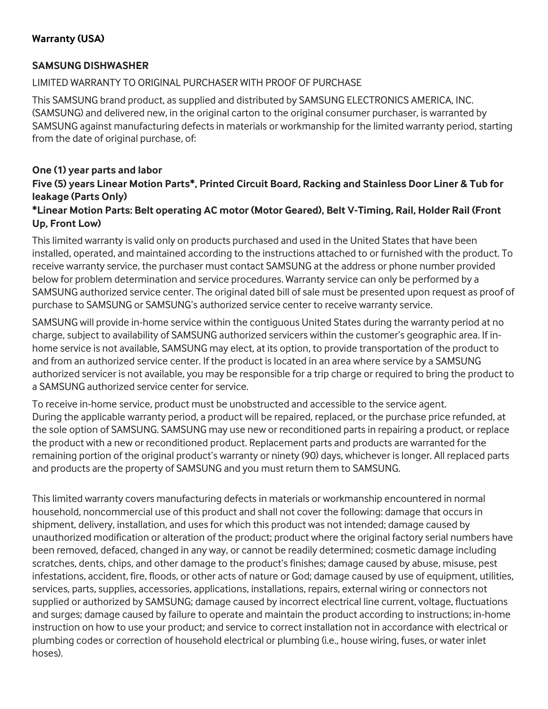# **Warranty (USA)**

## **SAMSUNG DISHWASHER**

## LIMITED WARRANTY TO ORIGINAL PURCHASER WITH PROOF OF PURCHASE

This SAMSUNG brand product, as supplied and distributed by SAMSUNG ELECTRONICS AMERICA, INC. (SAMSUNG) and delivered new, in the original carton to the original consumer purchaser, is warranted by SAMSUNG against manufacturing defects in materials or workmanship for the limited warranty period, starting from the date of original purchase, of:

#### **One (1) year parts and labor Five (5) years Linear Motion Parts\*, Printed Circuit Board, Racking and Stainless Door Liner & Tub for leakage (Parts Only)**

## **\*Linear Motion Parts: Belt operating AC motor (Motor Geared), Belt V-Timing, Rail, Holder Rail (Front Up, Front Low)**

This limited warranty is valid only on products purchased and used in the United States that have been installed, operated, and maintained according to the instructions attached to or furnished with the product. To receive warranty service, the purchaser must contact SAMSUNG at the address or phone number provided below for problem determination and service procedures. Warranty service can only be performed by a SAMSUNG authorized service center. The original dated bill of sale must be presented upon request as proof of purchase to SAMSUNG or SAMSUNG's authorized service center to receive warranty service.

SAMSUNG will provide in-home service within the contiguous United States during the warranty period at no charge, subject to availability of SAMSUNG authorized servicers within the customer's geographic area. If inhome service is not available, SAMSUNG may elect, at its option, to provide transportation of the product to and from an authorized service center. If the product is located in an area where service by a SAMSUNG authorized servicer is not available, you may be responsible for a trip charge or required to bring the product to a SAMSUNG authorized service center for service.

To receive in-home service, product must be unobstructed and accessible to the service agent. During the applicable warranty period, a product will be repaired, replaced, or the purchase price refunded, at the sole option of SAMSUNG. SAMSUNG may use new or reconditioned parts in repairing a product, or replace the product with a new or reconditioned product. Replacement parts and products are warranted for the remaining portion of the original product's warranty or ninety (90) days, whichever is longer. All replaced parts and products are the property of SAMSUNG and you must return them to SAMSUNG.

This limited warranty covers manufacturing defects in materials or workmanship encountered in normal household, noncommercial use of this product and shall not cover the following: damage that occurs in shipment, delivery, installation, and uses for which this product was not intended; damage caused by unauthorized modification or alteration of the product; product where the original factory serial numbers have been removed, defaced, changed in any way, or cannot be readily determined; cosmetic damage including scratches, dents, chips, and other damage to the product's finishes; damage caused by abuse, misuse, pest infestations, accident, fire, floods, or other acts of nature or God; damage caused by use of equipment, utilities, services, parts, supplies, accessories, applications, installations, repairs, external wiring or connectors not supplied or authorized by SAMSUNG; damage caused by incorrect electrical line current, voltage, fluctuations and surges; damage caused by failure to operate and maintain the product according to instructions; in-home instruction on how to use your product; and service to correct installation not in accordance with electrical or plumbing codes or correction of household electrical or plumbing (i.e., house wiring, fuses, or water inlet hoses).